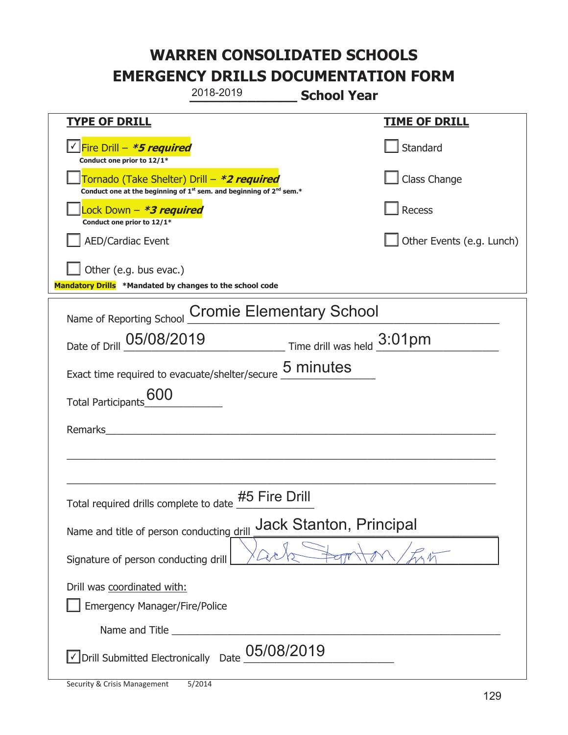|                                                                                    | 2018-2019                                                                                                                                 | <b>School Year</b>                                                    |  |  |
|------------------------------------------------------------------------------------|-------------------------------------------------------------------------------------------------------------------------------------------|-----------------------------------------------------------------------|--|--|
| <b>TYPE OF DRILL</b>                                                               |                                                                                                                                           | <u>TIME OF DRILL</u>                                                  |  |  |
| <u>√ Fire Drill – *5 required</u><br>Conduct one prior to 12/1*                    |                                                                                                                                           | Standard                                                              |  |  |
|                                                                                    | Tornado (Take Shelter) Drill – *2 required<br>Conduct one at the beginning of 1 <sup>st</sup> sem. and beginning of 2 <sup>nd</sup> sem.* | Class Change                                                          |  |  |
| Lock Down - <b>*3 required</b><br>Conduct one prior to 12/1*                       |                                                                                                                                           | <b>Recess</b>                                                         |  |  |
| <b>AED/Cardiac Event</b>                                                           |                                                                                                                                           | Other Events (e.g. Lunch)                                             |  |  |
| Other (e.g. bus evac.)<br>Mandatory Drills *Mandated by changes to the school code |                                                                                                                                           |                                                                       |  |  |
| Name of Reporting School                                                           | <b>Cromie Elementary School</b>                                                                                                           |                                                                       |  |  |
| Date of Drill 05/08/2019                                                           |                                                                                                                                           | $\frac{3:01}{\text{pm}}$ Time drill was held $\frac{3:01}{\text{pm}}$ |  |  |
|                                                                                    | Exact time required to evacuate/shelter/secure 5 minutes                                                                                  |                                                                       |  |  |
| 600<br><b>Total Participants</b>                                                   |                                                                                                                                           |                                                                       |  |  |
| Remarks                                                                            |                                                                                                                                           |                                                                       |  |  |
|                                                                                    |                                                                                                                                           |                                                                       |  |  |
|                                                                                    |                                                                                                                                           |                                                                       |  |  |
| Total required drills complete to date $\frac{\# 5}{\quad}$ Fire Drill             |                                                                                                                                           |                                                                       |  |  |
| Jack Stanton, Principal<br>Name and title of person conducting drill               |                                                                                                                                           |                                                                       |  |  |
| Signature of person conducting drill                                               |                                                                                                                                           |                                                                       |  |  |
| Drill was coordinated with:<br><b>Emergency Manager/Fire/Police</b>                |                                                                                                                                           |                                                                       |  |  |
|                                                                                    |                                                                                                                                           |                                                                       |  |  |
| √ Drill Submitted Electronically                                                   | 05/08/2019<br>Date                                                                                                                        |                                                                       |  |  |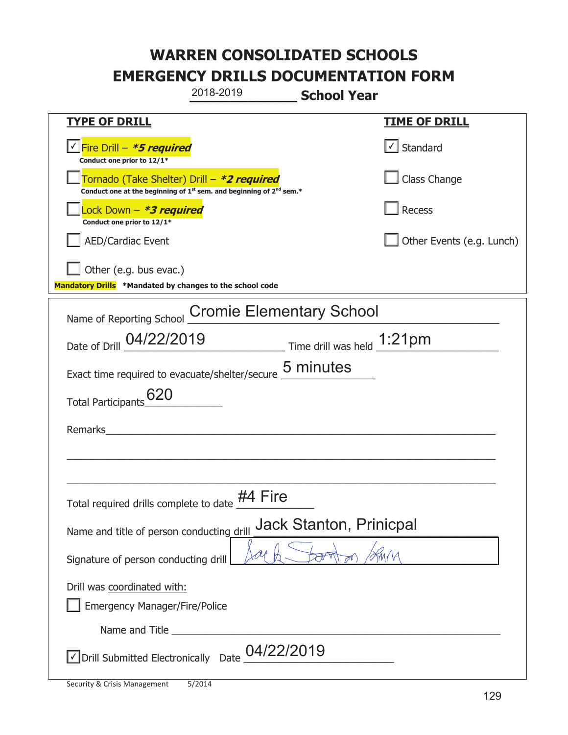|                                                                                    | 2018-2019                                                                                   | <b>School Year</b> |                                   |
|------------------------------------------------------------------------------------|---------------------------------------------------------------------------------------------|--------------------|-----------------------------------|
| <b>TYPE OF DRILL</b>                                                               |                                                                                             |                    | <b>TIME OF DRILL</b>              |
| Fire Drill - *5 required<br>Conduct one prior to 12/1*                             |                                                                                             |                    | $\lfloor \angle \rfloor$ Standard |
| Tornado (Take Shelter) Drill – *2 required                                         | Conduct one at the beginning of 1 <sup>st</sup> sem. and beginning of 2 <sup>nd</sup> sem.* |                    | Class Change                      |
| Lock Down - <b>*3 required</b><br>Conduct one prior to 12/1*                       |                                                                                             |                    | Recess                            |
| <b>AED/Cardiac Event</b>                                                           |                                                                                             |                    | Other Events (e.g. Lunch)         |
| Other (e.g. bus evac.)<br>Mandatory Drills *Mandated by changes to the school code |                                                                                             |                    |                                   |
| Name of Reporting School                                                           | <b>Cromie Elementary School</b>                                                             |                    |                                   |
| Date of Drill 04/22/2019                                                           | $\frac{1:21}{2}$ Time drill was held $\frac{1:21}{2}$                                       |                    |                                   |
| Exact time required to evacuate/shelter/secure 5 minutes                           |                                                                                             |                    |                                   |
| 620<br><b>Total Participants</b>                                                   |                                                                                             |                    |                                   |
| Remarks                                                                            |                                                                                             |                    |                                   |
|                                                                                    |                                                                                             |                    |                                   |
|                                                                                    |                                                                                             |                    |                                   |
| Total required drills complete to date $\frac{\#4}{\qquad}$ Fire                   |                                                                                             |                    |                                   |
| <b>Jack Stanton, Prinicpal</b><br>Name and title of person conducting drill        |                                                                                             |                    |                                   |
| Signature of person conducting drill                                               |                                                                                             |                    |                                   |
| Drill was coordinated with:<br><b>Emergency Manager/Fire/Police</b>                |                                                                                             |                    |                                   |
|                                                                                    |                                                                                             |                    |                                   |
| Drill Submitted Electronically Date                                                | 04/22/2019                                                                                  |                    |                                   |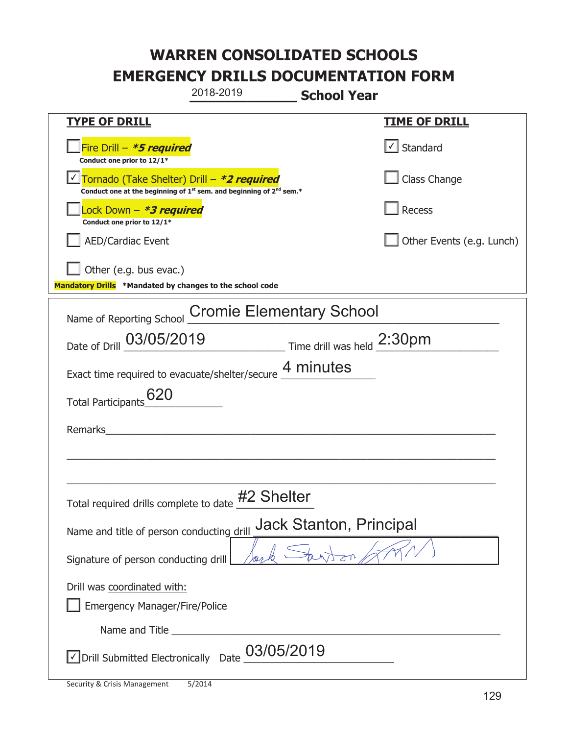| 2018-2019                                                                                                                                 | <b>School Year</b>                |  |  |
|-------------------------------------------------------------------------------------------------------------------------------------------|-----------------------------------|--|--|
| <b>TYPE OF DRILL</b>                                                                                                                      | <u>TIME OF DRILL</u>              |  |  |
| Fire Drill - *5 required<br>Conduct one prior to 12/1*                                                                                    | $\lfloor \angle \rfloor$ Standard |  |  |
| Tornado (Take Shelter) Drill – *2 required<br>Conduct one at the beginning of 1 <sup>st</sup> sem. and beginning of 2 <sup>nd</sup> sem.* | Class Change                      |  |  |
| Lock Down - <b>*3 required</b><br>Conduct one prior to 12/1*                                                                              | Recess                            |  |  |
| <b>AED/Cardiac Event</b>                                                                                                                  | Other Events (e.g. Lunch)         |  |  |
| Other (e.g. bus evac.)<br>Mandatory Drills *Mandated by changes to the school code                                                        |                                   |  |  |
| Name of Reporting School                                                                                                                  | <b>Cromie Elementary School</b>   |  |  |
| Date of Drill 03/05/2019 Time drill was held 2:30pm                                                                                       |                                   |  |  |
| Exact time required to evacuate/shelter/secure 4 minutes                                                                                  |                                   |  |  |
| 620<br><b>Total Participants</b>                                                                                                          |                                   |  |  |
| Remarks                                                                                                                                   |                                   |  |  |
|                                                                                                                                           |                                   |  |  |
| Total required drills complete to date                                                                                                    | #2 Shelter                        |  |  |
| <b>Jack Stanton, Principal</b><br>Name and title of person conducting drill                                                               |                                   |  |  |
| Signature of person conducting drill                                                                                                      |                                   |  |  |
| Drill was coordinated with:<br><b>Emergency Manager/Fire/Police</b>                                                                       |                                   |  |  |
|                                                                                                                                           |                                   |  |  |
| √ Drill Submitted Electronically Date                                                                                                     | 03/05/2019                        |  |  |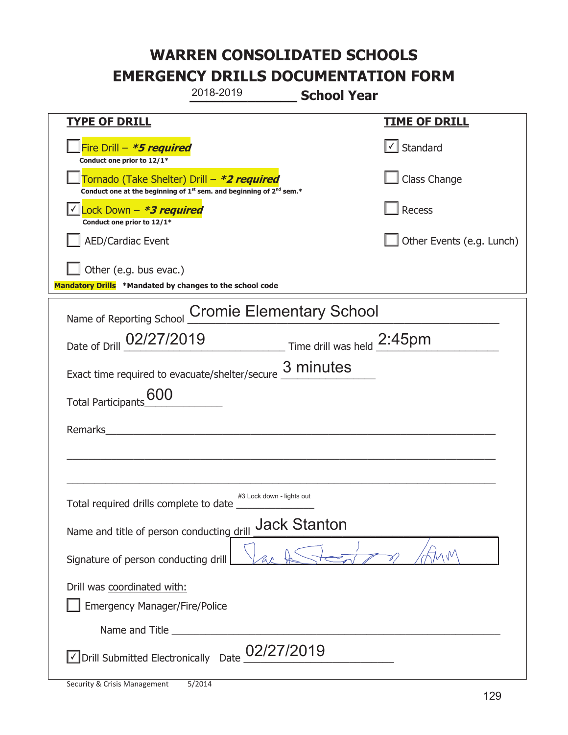| 2018-2019                                                                                                                                 | <b>School Year</b>              |  |  |
|-------------------------------------------------------------------------------------------------------------------------------------------|---------------------------------|--|--|
| <b>TYPE OF DRILL</b>                                                                                                                      | <b>TIME OF DRILL</b>            |  |  |
| Fire Drill - *5 required<br>Conduct one prior to 12/1*                                                                                    | $\cup$ Standard                 |  |  |
| Tornado (Take Shelter) Drill – *2 required<br>Conduct one at the beginning of 1 <sup>st</sup> sem. and beginning of 2 <sup>nd</sup> sem.* | Class Change                    |  |  |
| Lock Down - <b>*<i>3 required</i></b><br>Conduct one prior to 12/1*                                                                       | Recess                          |  |  |
| <b>AED/Cardiac Event</b>                                                                                                                  | Other Events (e.g. Lunch)       |  |  |
| Other (e.g. bus evac.)<br>Mandatory Drills *Mandated by changes to the school code                                                        |                                 |  |  |
| Name of Reporting School                                                                                                                  | <b>Cromie Elementary School</b> |  |  |
| Date of Drill 02/27/2019 Time drill was held 2:45pm                                                                                       |                                 |  |  |
| Exact time required to evacuate/shelter/secure $\frac{3}{2}$ minutes                                                                      |                                 |  |  |
| <b>600</b><br><b>Total Participants</b>                                                                                                   |                                 |  |  |
| Remarks                                                                                                                                   |                                 |  |  |
|                                                                                                                                           |                                 |  |  |
|                                                                                                                                           |                                 |  |  |
| Total required drills complete to date                                                                                                    | #3 Lock down - lights out       |  |  |
| Name and title of person conducting drill                                                                                                 | <b>Jack Stanton</b>             |  |  |
| $\wedge \sqrt{M}$<br>Signature of person conducting drill                                                                                 |                                 |  |  |
| Drill was coordinated with:                                                                                                               |                                 |  |  |
| <b>Emergency Manager/Fire/Police</b>                                                                                                      |                                 |  |  |
|                                                                                                                                           |                                 |  |  |
| $\sqrt{\text{Drill}}$ Submitted Electronically Date $\underline{\text{02}}$ /27/2019                                                      |                                 |  |  |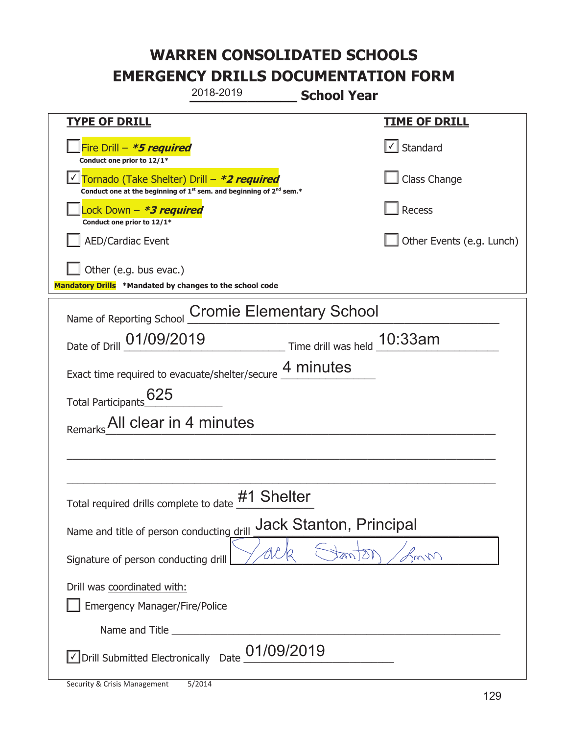|                                                                                    | 2018-2019                                                                     | <b>School Year</b>             |                           |
|------------------------------------------------------------------------------------|-------------------------------------------------------------------------------|--------------------------------|---------------------------|
| <b>TYPE OF DRILL</b>                                                               |                                                                               |                                | <u>TIME OF DRILL</u>      |
| Fire Drill - *5 required<br>Conduct one prior to 12/1*                             |                                                                               |                                | √ Standard                |
| Tornado (Take Shelter) Drill – *2 required                                         | Conduct one at the beginning of $1^{st}$ sem. and beginning of $2^{nd}$ sem.* |                                | Class Change              |
| ock Down - <b>*3 required</b><br>Conduct one prior to 12/1*                        |                                                                               |                                | Recess                    |
| <b>AED/Cardiac Event</b>                                                           |                                                                               |                                | Other Events (e.g. Lunch) |
| Other (e.g. bus evac.)<br>Mandatory Drills *Mandated by changes to the school code |                                                                               |                                |                           |
| Name of Reporting School                                                           | <b>Cromie Elementary School</b>                                               |                                |                           |
| Date of Drill 01/09/2019 Time drill was held 10:33am                               |                                                                               |                                |                           |
| Exact time required to evacuate/shelter/secure 4 minutes                           |                                                                               |                                |                           |
| 625<br>Total Participants                                                          |                                                                               |                                |                           |
| All clear in 4 minutes                                                             |                                                                               |                                |                           |
|                                                                                    |                                                                               |                                |                           |
|                                                                                    |                                                                               |                                |                           |
| Total required drills complete to date $#1$ Shelter                                |                                                                               |                                |                           |
| Name and title of person conducting drill                                          |                                                                               | <b>Jack Stanton, Principal</b> |                           |
| Signature of person conducting drill                                               |                                                                               |                                | m                         |
| Drill was coordinated with:<br><b>Emergency Manager/Fire/Police</b>                |                                                                               |                                |                           |
|                                                                                    |                                                                               |                                |                           |
| Drill Submitted Electronically Date                                                | 01/09/2019                                                                    |                                |                           |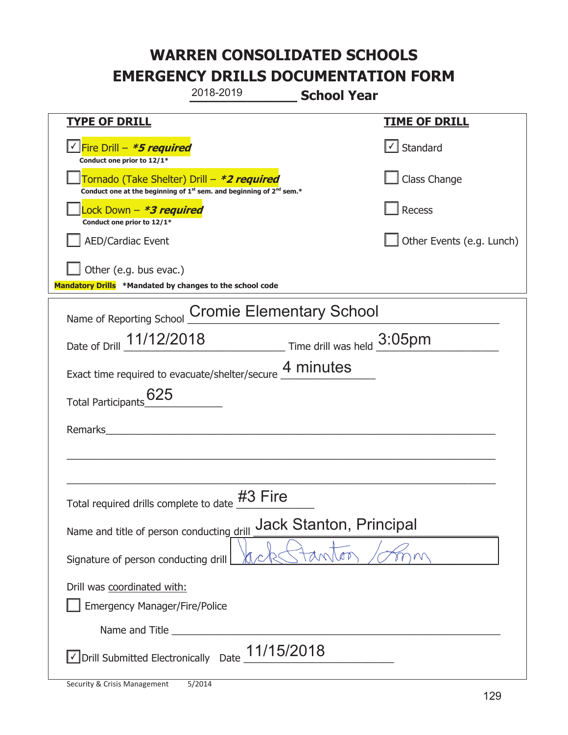| 2018-2019                                                                                                                   | <b>School Year</b>                    |  |  |
|-----------------------------------------------------------------------------------------------------------------------------|---------------------------------------|--|--|
| <b>TYPE OF DRILL</b>                                                                                                        | <b>TIME OF DRILL</b>                  |  |  |
| <u> √ Fire Drill – <b>*5 required</b></u><br>Conduct one prior to 12/1*                                                     | $\lfloor \checkmark \rfloor$ Standard |  |  |
| Tornado (Take Shelter) Drill – *2 required<br>Conduct one at the beginning of $1^{st}$ sem. and beginning of $2^{nd}$ sem.* | Class Change                          |  |  |
| Lock Down - <b>*3 required</b><br>Conduct one prior to 12/1*                                                                | Recess                                |  |  |
| <b>AED/Cardiac Event</b>                                                                                                    | Other Events (e.g. Lunch)             |  |  |
| Other (e.g. bus evac.)<br>Mandatory Drills *Mandated by changes to the school code                                          |                                       |  |  |
| Name of Reporting School Cromie Elementary School                                                                           |                                       |  |  |
| Date of Drill 11/12/2018<br>Time drill was held 3:05pm                                                                      |                                       |  |  |
| Exact time required to evacuate/shelter/secure 4 minutes                                                                    |                                       |  |  |
| Total Participants_625                                                                                                      |                                       |  |  |
| Remarks                                                                                                                     |                                       |  |  |
|                                                                                                                             |                                       |  |  |
|                                                                                                                             |                                       |  |  |
| Total required drills complete to date #3 Fire                                                                              |                                       |  |  |
| <b>Jack Stanton, Principal</b><br>Name and title of person conducting drill                                                 |                                       |  |  |
| Signature of person conducting drill                                                                                        |                                       |  |  |
| Drill was coordinated with:                                                                                                 |                                       |  |  |
| Emergency Manager/Fire/Police                                                                                               |                                       |  |  |
|                                                                                                                             |                                       |  |  |
| 11/15/2018<br>√ Drill Submitted Electronically Date                                                                         |                                       |  |  |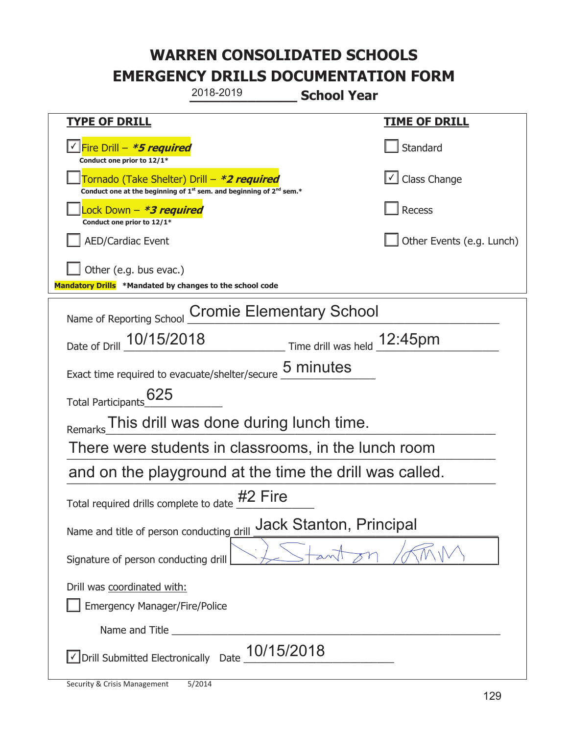|                                                                                    | 2018-2019                                                                     | <b>School Year</b>          |  |
|------------------------------------------------------------------------------------|-------------------------------------------------------------------------------|-----------------------------|--|
| <u>TYPE OF DRILL</u>                                                               |                                                                               | <u>TIME OF DRILL</u>        |  |
| Fire Drill - *5 required<br>Conduct one prior to 12/1*                             |                                                                               | Standard                    |  |
| Tornado (Take Shelter) Drill – *2 required                                         | Conduct one at the beginning of $1^{st}$ sem. and beginning of $2^{nd}$ sem.* | Class Change                |  |
| Lock Down – <b>*<i>3 required</i></b><br>Conduct one prior to 12/1*                |                                                                               | <b>Recess</b>               |  |
| <b>AED/Cardiac Event</b>                                                           |                                                                               | Other Events (e.g. Lunch)   |  |
| Other (e.g. bus evac.)<br>Mandatory Drills *Mandated by changes to the school code |                                                                               |                             |  |
| Name of Reporting School                                                           | <b>Cromie Elementary School</b>                                               |                             |  |
| Date of Drill 10/15/2018                                                           |                                                                               | Time drill was held 12:45pm |  |
| Exact time required to evacuate/shelter/secure                                     |                                                                               | <b>5 minutes</b>            |  |
| 625<br><b>Total Participants</b>                                                   |                                                                               |                             |  |
| <b>Remarks</b>                                                                     | This drill was done during lunch time.                                        |                             |  |
| There were students in classrooms, in the lunch room                               |                                                                               |                             |  |
| and on the playground at the time the drill was called.                            |                                                                               |                             |  |
| Total required drills complete to date $#2$ Fire                                   |                                                                               |                             |  |
| <b>Jack Stanton, Principal</b><br>Name and title of person conducting drill        |                                                                               |                             |  |
| Signature of person conducting drill                                               |                                                                               |                             |  |
| Drill was coordinated with:<br><b>Emergency Manager/Fire/Police</b>                |                                                                               |                             |  |
|                                                                                    |                                                                               |                             |  |
| Drill Submitted Electronically                                                     | 10/15/2018<br>Date                                                            |                             |  |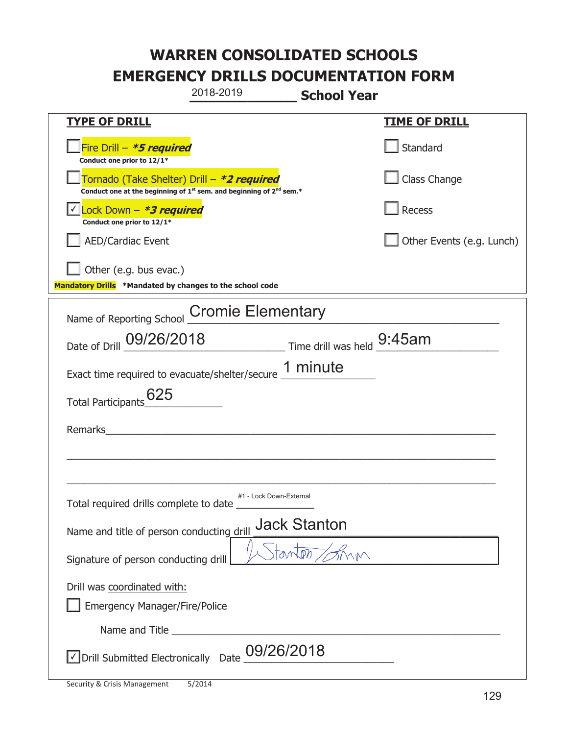|                                                                                    | 2018-2019                                                                                   | <b>School Year</b> |                           |
|------------------------------------------------------------------------------------|---------------------------------------------------------------------------------------------|--------------------|---------------------------|
| <b>TYPE OF DRILL</b>                                                               |                                                                                             |                    | <u>TIME OF DRILL</u>      |
| Fire Drill - *5 required<br>Conduct one prior to 12/1*                             |                                                                                             |                    | Standard                  |
| Tornado (Take Shelter) Drill – *2 required                                         | Conduct one at the beginning of 1 <sup>st</sup> sem. and beginning of 2 <sup>nd</sup> sem.* |                    | Class Change              |
| Lock Down - *3 required<br>Conduct one prior to 12/1*                              |                                                                                             |                    | Recess                    |
| <b>AED/Cardiac Event</b>                                                           |                                                                                             |                    | Other Events (e.g. Lunch) |
| Other (e.g. bus evac.)<br>Mandatory Drills *Mandated by changes to the school code |                                                                                             |                    |                           |
|                                                                                    | Name of Reporting School Cromie Elementary                                                  |                    |                           |
|                                                                                    |                                                                                             |                    |                           |
|                                                                                    | Date of Drill 09/26/2018 Time drill was held 9:45am                                         |                    |                           |
|                                                                                    | Exact time required to evacuate/shelter/secure 1 minute                                     |                    |                           |
| 625<br>Total Participants                                                          |                                                                                             |                    |                           |
| Remarks                                                                            |                                                                                             |                    |                           |
|                                                                                    |                                                                                             |                    |                           |
|                                                                                    |                                                                                             |                    |                           |
| Total required drills complete to date                                             | #1 - Lock Down-External                                                                     |                    |                           |
| Name and title of person conducting drill                                          | <b>Jack Stanton</b>                                                                         |                    |                           |
| Signature of person conducting drill                                               |                                                                                             | tanton / Shin      |                           |
| Drill was coordinated with:                                                        |                                                                                             |                    |                           |
| <b>Emergency Manager/Fire/Police</b>                                               |                                                                                             |                    |                           |
|                                                                                    |                                                                                             |                    |                           |
| Drill Submitted Electronically Date                                                | 09/26/2018                                                                                  |                    |                           |